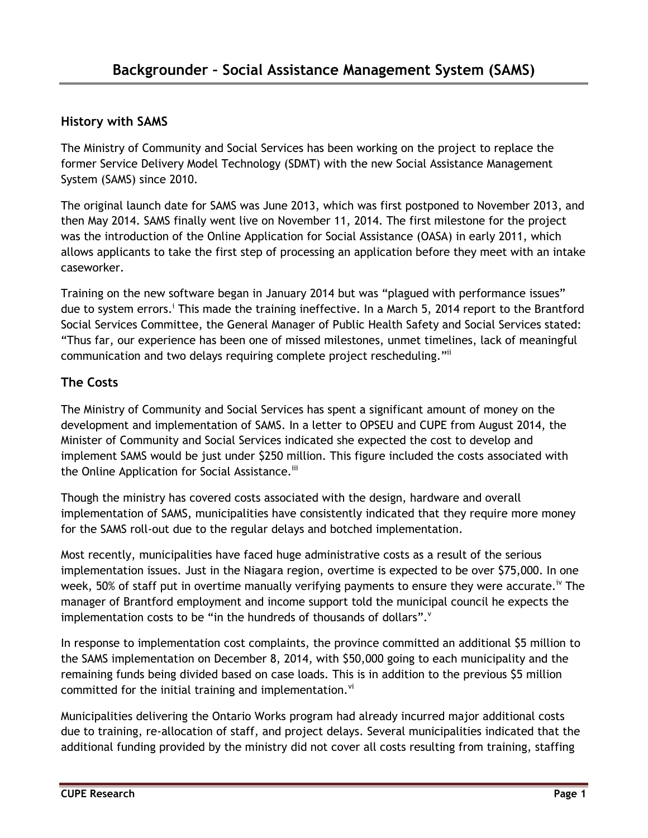## **History with SAMS**

The Ministry of Community and Social Services has been working on the project to replace the former Service Delivery Model Technology (SDMT) with the new Social Assistance Management System (SAMS) since 2010.

The original launch date for SAMS was June 2013, which was first postponed to November 2013, and then May 2014. SAMS finally went live on November 11, 2014. The first milestone for the project was the introduction of the Online Application for Social Assistance (OASA) in early 2011, which allows applicants to take the first step of processing an application before they meet with an intake caseworker.

Training on the new software began in January 2014 but was "plagued with performance issues" due to system errors.<sup>i</sup> This made the training ineffective. In a March 5, 2014 report to the Brantford Social Services Committee, the General Manager of Public Health Safety and Social Services stated: "Thus far, our experience has been one of missed milestones, unmet timelines, lack of meaningful communication and two delays requiring complete project rescheduling."ii

## **The Costs**

The Ministry of Community and Social Services has spent a significant amount of money on the development and implementation of SAMS. In a letter to OPSEU and CUPE from August 2014, the Minister of Community and Social Services indicated she expected the cost to develop and implement SAMS would be just under \$250 million. This figure included the costs associated with the Online Application for Social Assistance.<sup>iii</sup>

Though the ministry has covered costs associated with the design, hardware and overall implementation of SAMS, municipalities have consistently indicated that they require more money for the SAMS roll-out due to the regular delays and botched implementation.

Most recently, municipalities have faced huge administrative costs as a result of the serious implementation issues. Just in the Niagara region, overtime is expected to be over \$75,000. In one week, 50% of staff put in overtime manually verifying payments to ensure they were accurate.<sup>iv</sup> The manager of Brantford employment and income support told the municipal council he expects the implementation costs to be "in the hundreds of thousands of dollars".

In response to implementation cost complaints, the province committed an additional \$5 million to the SAMS implementation on December 8, 2014, with \$50,000 going to each municipality and the remaining funds being divided based on case loads. This is in addition to the previous \$5 million committed for the initial training and implementation.<sup>vi</sup>

Municipalities delivering the Ontario Works program had already incurred major additional costs due to training, re-allocation of staff, and project delays. Several municipalities indicated that the additional funding provided by the ministry did not cover all costs resulting from training, staffing